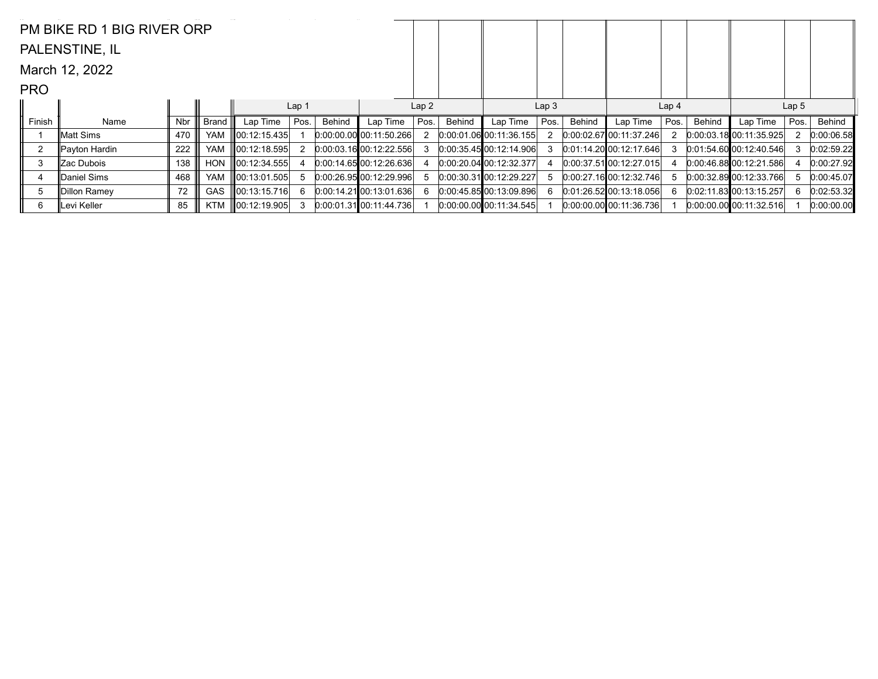|                | PM BIKE RD 1 BIG RIVER ORP |     |            |                    |                  |        |                           |                  |        |                             |                  |        |                           |                  |        |                             |                  |            |
|----------------|----------------------------|-----|------------|--------------------|------------------|--------|---------------------------|------------------|--------|-----------------------------|------------------|--------|---------------------------|------------------|--------|-----------------------------|------------------|------------|
|                | PALENSTINE, IL             |     |            |                    |                  |        |                           |                  |        |                             |                  |        |                           |                  |        |                             |                  |            |
|                | March 12, 2022             |     |            |                    |                  |        |                           |                  |        |                             |                  |        |                           |                  |        |                             |                  |            |
| <b>PRO</b>     |                            |     |            |                    |                  |        |                           |                  |        |                             |                  |        |                           |                  |        |                             |                  |            |
|                |                            |     |            |                    | Lap <sub>1</sub> |        |                           | Lap <sub>2</sub> |        |                             | Lap <sub>3</sub> |        |                           | Lap <sub>4</sub> |        |                             | Lap <sub>5</sub> |            |
| Finish         | Name                       | Nbr | Brand      | Lap Time           | Pos.             | Behind | Lap Time                  | Pos.             | Behind | Lap Time                    | Pos.             | Behind | Lap Time                  | Pos.             | Behind | Lap Time                    | Pos.             | Behind     |
|                | lMatt Sims                 | 470 | <b>YAM</b> | 00:12:15.435       |                  |        | $0:00:00.00$ 00:11:50.266 |                  |        | $0:00:01.06$ 00:11:36.155   |                  |        | 0.00.02.6700.11.37.246    |                  |        | 0.00:03.1800:11:35.925      |                  | 0:00:06.58 |
| $\overline{2}$ | ∥Payton Hardin             | 222 | <b>YAM</b> | 00:12:18.595       | 2                |        | 0:00:03.1600:12:22.556    |                  |        | 0:00:35.4500:12:14.906      |                  |        | $0:01:14.20$ 00:12:17.646 | 3                |        | 0:01:54.60[00:12:40.546]    | 3                | 0:02:59.22 |
| 3              | ∥Zac Dubois                | 138 | <b>HON</b> | $\ 00:12:34.555\ $ |                  |        | 0:00:14.6500:12:26.636    |                  |        | $[0:00:20.04]$ 00:12:32.377 |                  |        | 0.00:37.5100:12:27.015    |                  |        | 0.00:46.8800:12:21.586      |                  | 0:00:27.92 |
| 4              | ∥Daniel Sims               | 468 | <b>YAM</b> | 00:13:01.505       | 5                |        | $0:00:26.95$ 00:12:29.996 |                  |        | $0:00:30.31$ 00:12:29.227   |                  |        | 0:00:27.1600:12:32.746    | 5.               |        | $[0.00:32.89]$ 00:12:33.766 |                  | 0:00:45.07 |
| 5              | Dillon Ramey               | 72  | <b>GAS</b> | ∥00:13:15.716      | 6                |        | 0:00:14.2100:13:01.636    |                  |        | 0.00:45.8500:13:09.896      |                  |        | 0.01:26.5200:13:18.056    | 6.               |        | 0:02:11.83 00:13:15.257     | 6                | 0:02:53.32 |
| 6              | Levi Keller                | 85  | <b>KTM</b> | $\ 00:12:19.905\ $ | 3                |        | $0:00:01.31$ 00:11:44.736 |                  |        | $0:00:00.00$ 00:11:34.545   |                  |        | 0.00.00000000:11.36.736   |                  |        | $[0.00:00.00]$ 00:11:32.516 |                  | 0:00:00.00 |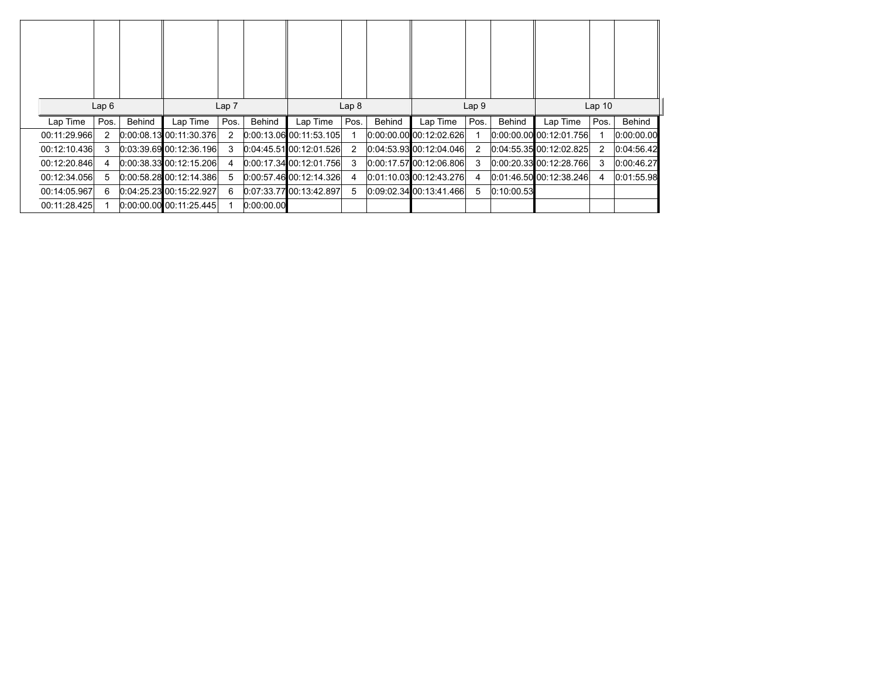| Lap6         |      |        |                             | Lap <sub>7</sub> |            |                             | Lap <sub>8</sub> |        |                             | Lap <sub>9</sub> |            |                             | Lap <sub>10</sub> |               |
|--------------|------|--------|-----------------------------|------------------|------------|-----------------------------|------------------|--------|-----------------------------|------------------|------------|-----------------------------|-------------------|---------------|
| Lap Time     | Pos. | Behind | Lap Time                    | Pos.             | Behind     | Lap Time                    | Pos.             | Behind | Lap Time                    | Pos.             | Behind     | Lap Time                    | Pos.              | <b>Behind</b> |
| 00:11:29.966 | 2    |        | 0.00.08.1300.11.30.376      |                  |            | $0.00:13.06$ 00:11:53.105   |                  |        | 0:00:00.00 00:12:02.626     |                  |            | $[0.00:00.00]$ 00:12:01.756 |                   | 0:00:00.00    |
| 00:12:10.436 | 3    |        | 0.03.39.6900.12.36.196      | 3                |            | 0.04:45.51100:12.01.526     |                  |        | 0.04.53.93 00.12.04.046     | 2                |            | $[0.04:55.35]$ 00:12:02.825 | 2                 | 0:04:56.42    |
| 00:12:20.846 | 4    |        | 0.00:38.3300:12:15.206      | 4                |            | $[0.00:17.34]$ $[0.01.756]$ | 3                |        | 0.00:17.57 00:12:06.806     | 3                |            | 0.00:20.33 00:12:28.766     | 3                 | 0:00:46.27    |
| 00:12:34.056 | 5    |        | $0:00:58.28$ 00:12:14.386   | 5                |            | 0.00.57.4600:12.14.326      | 4                |        | [0.01:10.03]00:12.43.276]   | -4               |            | 0.01:46.50 00:12:38.246     | 4                 | 0:01:55.98    |
| 00:14:05.967 | 6    |        | 0.04:25.23 00:15:22.927     | 6                |            | $0.07:33.77$ 00:13:42.897   | 5                |        | $[0.09.02.34]$ 00:13:41.466 | 5                | 0.10:00.53 |                             |                   |               |
| 00:11:28.425 |      |        | $[0:00:00:00]$ 00:11:25.445 |                  | 0.00:00.00 |                             |                  |        |                             |                  |            |                             |                   |               |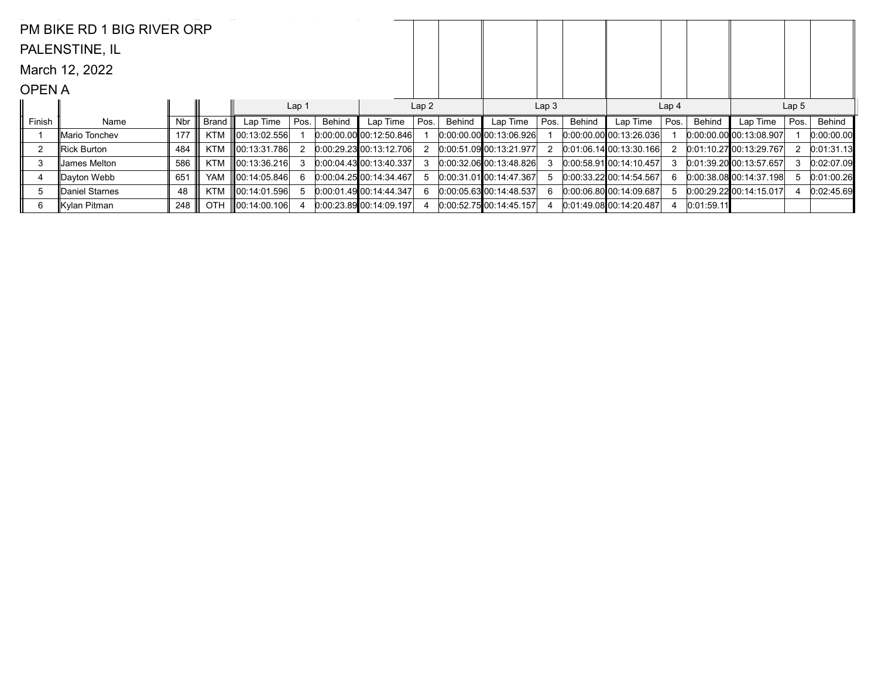|                | PM BIKE RD 1 BIG RIVER ORP |     |            |                    |                  |        |                             |                  |        |                             |                  |        |                                |                  |            |                             |                  |            |
|----------------|----------------------------|-----|------------|--------------------|------------------|--------|-----------------------------|------------------|--------|-----------------------------|------------------|--------|--------------------------------|------------------|------------|-----------------------------|------------------|------------|
|                | PALENSTINE, IL             |     |            |                    |                  |        |                             |                  |        |                             |                  |        |                                |                  |            |                             |                  |            |
|                | March 12, 2022             |     |            |                    |                  |        |                             |                  |        |                             |                  |        |                                |                  |            |                             |                  |            |
| <b>OPENA</b>   |                            |     |            |                    |                  |        |                             |                  |        |                             |                  |        |                                |                  |            |                             |                  |            |
|                |                            |     |            |                    | Lap <sub>1</sub> |        |                             | Lap <sub>2</sub> |        |                             | Lap <sub>3</sub> |        |                                | Lap <sub>4</sub> |            |                             | Lap <sub>5</sub> |            |
| Finish         | Name                       | Nbr | Brand      | Lap Time           | Pos.             | Behind | Lap Time                    | Pos.             | Behind | Lap Time                    | Pos.             | Behind | Lap Time                       | Pos.             | Behind     | Lap Time                    | Pos.             | Behind     |
|                | ∥Mario Tonchev             | 177 | <b>KTM</b> | 00:13:02.556       |                  |        | $0:00:00.00$ 00:12:50.846   |                  |        | $0:00:00.00$ 00:13:06.926   |                  |        | $[0.00.00.00]$ $[0.13.26.036]$ |                  |            | $[0.00:00.00]$ 00:13:08.907 |                  | 0:00:00.00 |
| $\overline{2}$ | Rick Burton                | 484 | <b>KTM</b> | 00:13:31.786       | 2                |        | 0.00.29.23 00.13.12.706     |                  |        | 0:00:51.09 00:13:21.977     |                  |        | $0:01:06.14$ 00:13:30.166      | 2                |            | 0.01:10.27 00:13:29.767     |                  | 0:01:31.13 |
| 3              | Uames Melton               | 586 | <b>KTM</b> | $\ 00:13:36.216\ $ |                  |        | $[0.00:04.43]$ 00:13:40.337 |                  |        | $0:00:32.06$ 00:13:48.826   |                  |        | 0.00.58.9100.14.10.457         | 3                |            | $0:01:39.20$ 00:13:57.657   |                  | 0:02:07.09 |
| 4              | Dayton Webb                | 651 | <b>YAM</b> | 00:14:05.846       | 6                |        | $0:00:04.25$ 00:14:34.467   |                  |        | $0:00:31.01$ $00:14.47.367$ |                  |        | $0:00:33.22$ 00:14:54.567      | 6                |            | $[0:00:38.08]$ 00:14:37.198 | 5                | 0:01:00.26 |
| 5              | Daniel Starnes             | 48  | KTM        | 00:14:01.596       |                  |        | $[0.00:01.49]$ 00:14:44.347 |                  |        | $0:00:05.63$ 00:14:48.537   |                  |        | 0.00.06.80 00.14.09.687        |                  |            | 0.00.29.22 00:14:15.017     |                  | 0:02:45.69 |
| 6              | Kylan Pitman               | 248 | <b>OTH</b> | $\ 00:14:00.106\ $ |                  |        | 0:00:23.8900:14:09.197      |                  |        | 0:00:52.75 00:14:45.157     |                  |        | 0.01:49.0800:14:20.487         |                  | 0:01:59.11 |                             |                  |            |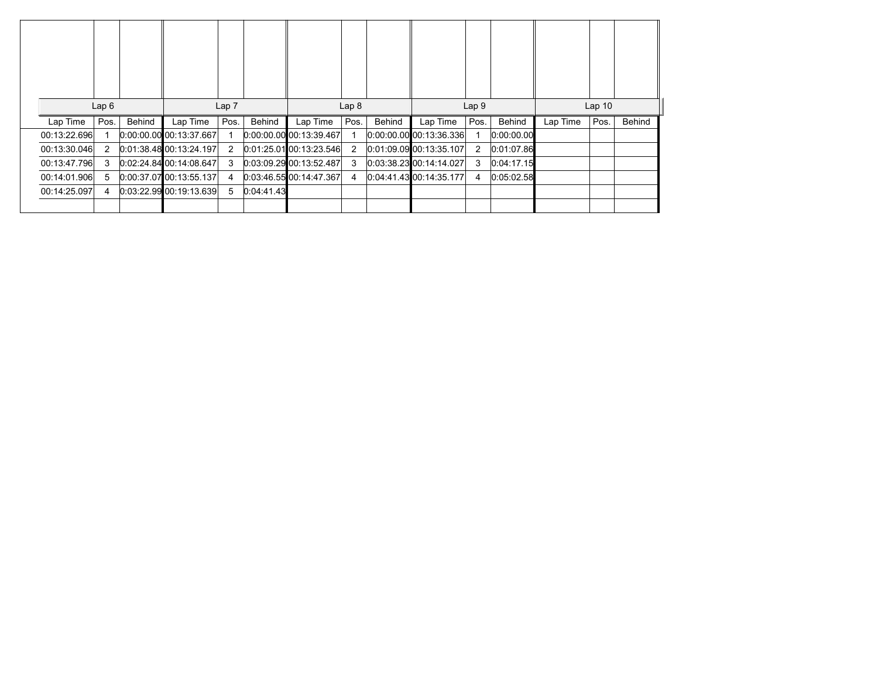|                          | Lap6 | Behind |                                       | Lap <sub>7</sub><br>Pos. | Behind     |                                       | Lap <sub>8</sub><br>Pos. | Behind |                                     | Lap <sub>9</sub> | Behind     |          | Lap <sub>10</sub> | Behind |
|--------------------------|------|--------|---------------------------------------|--------------------------|------------|---------------------------------------|--------------------------|--------|-------------------------------------|------------------|------------|----------|-------------------|--------|
| Lap Time<br>00:13:22.696 | Pos. |        | Lap Time<br>$0:00:00.00$ 00:13:37.667 |                          |            | Lap Time<br>$0:00:00.00$ 00:13:39.467 |                          |        | Lap Time<br>0.00.00.00 00.13.36.336 | Pos.             | 0:00:00.00 | Lap Time | Pos.              |        |
| 00:13:30.046             | 2    |        | 0.01.38.48100.13.24.197               | $\overline{2}$           |            | $0.01:25.01$ 00:13:23.546             | $\overline{2}$           |        | 0:01:09.09 00:13:35.107             | $\overline{2}$   | 0:01:07.86 |          |                   |        |
| 00:13:47.796             | 3    |        | 0.02.24.84100.14.08.647               | 3                        |            | 0.03.09.29 00.13.52.487               | 3                        |        | 0:03:38.23 00:14:14.027             | 3                | 0:04:17.15 |          |                   |        |
| 00:14:01.906             | 5    |        | $0:00:37.07$ 00:13:55.137             | 4                        |            | 0:03:46.55 00:14:47.367               | 4                        |        | 0.04.41.43 00.14.35.177             | 4                | 0.05:02.58 |          |                   |        |
| 00:14:25.097             | 4    |        | 0.03.22.99 00.19.13.639               | 5                        | 0:04:41.43 |                                       |                          |        |                                     |                  |            |          |                   |        |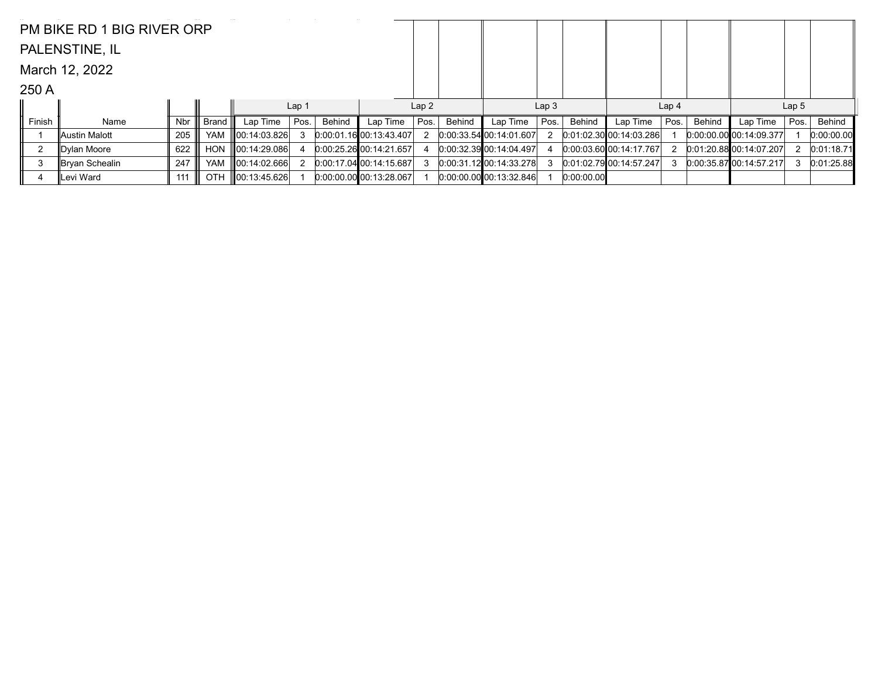|        | PM BIKE RD 1 BIG RIVER ORP |     |            |                    |      |        |                           |      |               |                            |      |            |                           |      |               |                             |      |            |
|--------|----------------------------|-----|------------|--------------------|------|--------|---------------------------|------|---------------|----------------------------|------|------------|---------------------------|------|---------------|-----------------------------|------|------------|
|        | PALENSTINE, IL             |     |            |                    |      |        |                           |      |               |                            |      |            |                           |      |               |                             |      |            |
|        | March 12, 2022             |     |            |                    |      |        |                           |      |               |                            |      |            |                           |      |               |                             |      |            |
| 250 A  |                            |     |            |                    |      |        |                           |      |               |                            |      |            |                           |      |               |                             |      |            |
|        |                            |     |            | Lap <sub>2</sub>   |      |        | Lap <sub>3</sub>          |      |               | Lap <sub>4</sub>           |      |            | Lap <sub>5</sub>          |      |               |                             |      |            |
| Finish | Name                       | Nbr | Brand      | Lap Time           | Pos. | Behind | Lap Time                  | Pos. | <b>Behind</b> | Lap Time                   | Pos. | Behind     | Lap Time                  | Pos. | <b>Behind</b> | Lap Time                    | Pos. | Behind     |
|        | ∥Austin Malott             | 205 | YAM        | $\ 00:14:03.826\ $ |      |        | 0:00.01.1600:13:43.407    |      |               | $0:00:33.54$ 00:14:01.607  |      |            | $0:01:02.30$ 00:14:03.286 |      |               | $[0.00:00.00]$ 00:14:09.377 |      | 0:00:00.00 |
|        | Dylan Moore                | 622 | <b>HON</b> | 00:14:29.086       |      |        | 0:00:25.26 00:14:21.657   |      |               | 0:00:32.39 00:14:04.497    |      |            | 0.00.03.60 00.14.17.767   |      |               | 0.01.20.88000.14.07.207     |      | 0:01:18.71 |
| 3      | Bryan Schealin             | 247 | <b>YAM</b> | 00:14:02.666       |      |        | 0:00:17.0400:14:15.687    |      |               | $0:00:31.12$ 00:14:33.278  |      |            | 0.01:02.7900:14:57.247    |      |               | $[0:00:35.87]$ 00:14:57.217 | 3    | 0:01:25.88 |
|        | Levi Ward                  | 111 | <b>OTH</b> | $\ 00:13:45.626\ $ |      |        | $0:00:00.00$ 00:13:28.067 |      |               | [0.00.00.00, 00.13.32.846] |      | 0:00:00.00 |                           |      |               |                             |      |            |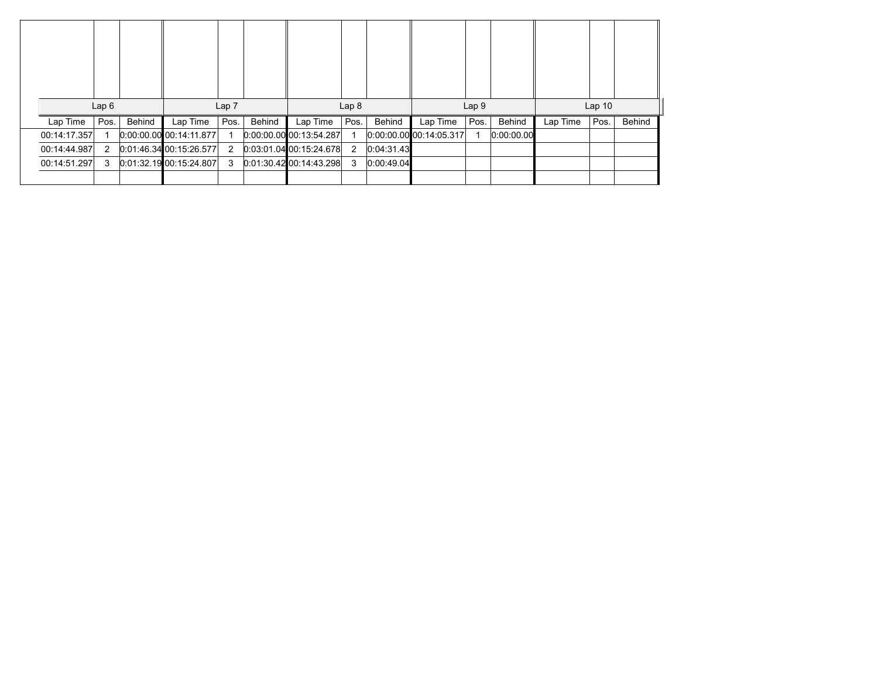|              | Lap6 |        |                           | Lap <sub>7</sub> |        |                           | Lap <sub>8</sub> |            |                             | Lap <sub>9</sub> |            |          | Lap <sub>10</sub> |        |
|--------------|------|--------|---------------------------|------------------|--------|---------------------------|------------------|------------|-----------------------------|------------------|------------|----------|-------------------|--------|
| Lap Time     | Pos. | Behind | Lap Time                  | Pos.             | Behind | Lap Time                  | Pos.             | Behind     | Lap Time                    | Pos.             | Behind     | Lap Time | Pos.              | Behind |
| 00:14:17.357 |      |        | $0:00:00.00$ 00:14:11.877 |                  |        | $0:00:00.00$ 00:13:54.287 |                  |            | $[0:00:00:00]$ 00:14:05.317 | 1                | 0:00:00.00 |          |                   |        |
| 00:14:44.987 | 2    |        | 0.01.46.34 00.15.26.577   | 2                |        | $0.03.01.04$ 00:15:24.678 | 2                | 0:04:31.43 |                             |                  |            |          |                   |        |
|              |      |        |                           |                  |        |                           |                  |            |                             |                  |            |          |                   |        |
| 00:14:51.297 | 3    |        | 0.01.32.1900.15.24.807    | 3                |        | 0.01:30.42100:14:43.298   | 3                | 0:00:49.04 |                             |                  |            |          |                   |        |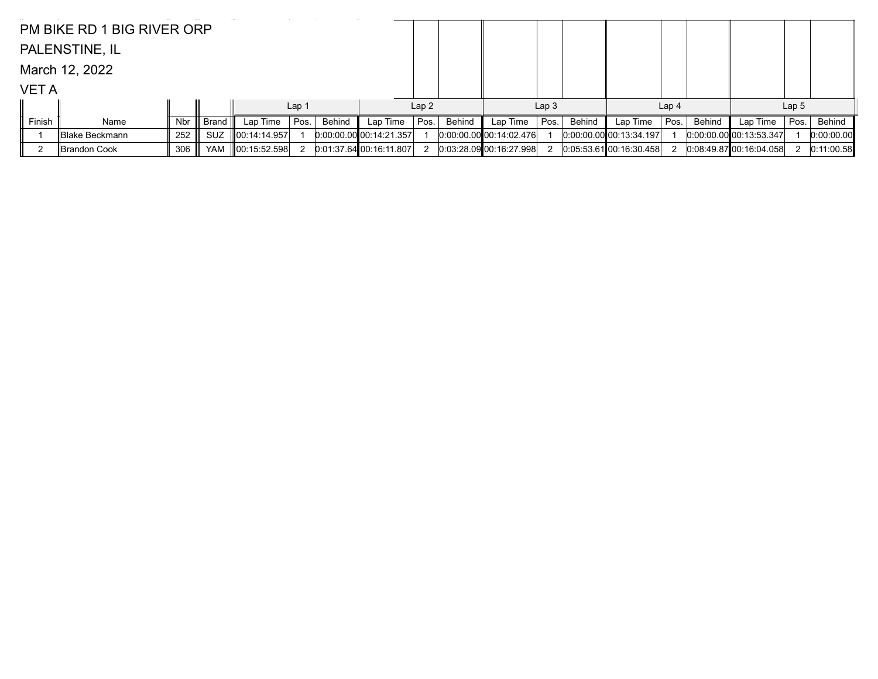|             | PM BIKE RD 1 BIG RIVER ORP |     |            |                    |                  |        |                         |      |        |                           |                  |        |                           |                  |               |                             |                  |            |
|-------------|----------------------------|-----|------------|--------------------|------------------|--------|-------------------------|------|--------|---------------------------|------------------|--------|---------------------------|------------------|---------------|-----------------------------|------------------|------------|
|             | PALENSTINE, IL             |     |            |                    |                  |        |                         |      |        |                           |                  |        |                           |                  |               |                             |                  |            |
|             | March 12, 2022             |     |            |                    |                  |        |                         |      |        |                           |                  |        |                           |                  |               |                             |                  |            |
| <b>VETA</b> |                            |     |            |                    |                  |        |                         |      |        |                           |                  |        |                           |                  |               |                             |                  |            |
|             |                            |     |            |                    | Lap <sub>1</sub> |        |                         | Lap2 |        |                           | Lap <sub>3</sub> |        |                           | Lap <sub>4</sub> |               |                             | Lap <sub>5</sub> |            |
| Finish      | Name                       | Nbr | Brand      | Lap Time           | Pos.             | Behind | Lap Time                | Pos. | Behind | Lap Time                  | Pos.             | Behind | Lap Time                  | Pos.             | <b>Behind</b> | Lap Time                    | Pos.             | Behind     |
|             | Blake Beckmann             | 252 | <b>SUZ</b> | 00:14:14.957       |                  |        | 0.00.00.00000:14.21.357 |      |        | $0:00:00.00$ 00:14:02.476 |                  |        | $0.00.00.00$ 00:13:34.197 |                  |               | $[0.00:00.00]$ 00:13:53.347 |                  | 0:00:00.00 |
|             | ∥Brandon Cook              | 306 | <b>YAM</b> | $\ 00:15:52.598\ $ |                  |        | 0.01:37.64 00:16:11.807 |      |        | 0.03:28.09 00.16:27.998   |                  |        | 0.05:53.61[00:16:30.458]  |                  |               | 0.08.49.8700.16.04.058      |                  | 0:11:00.58 |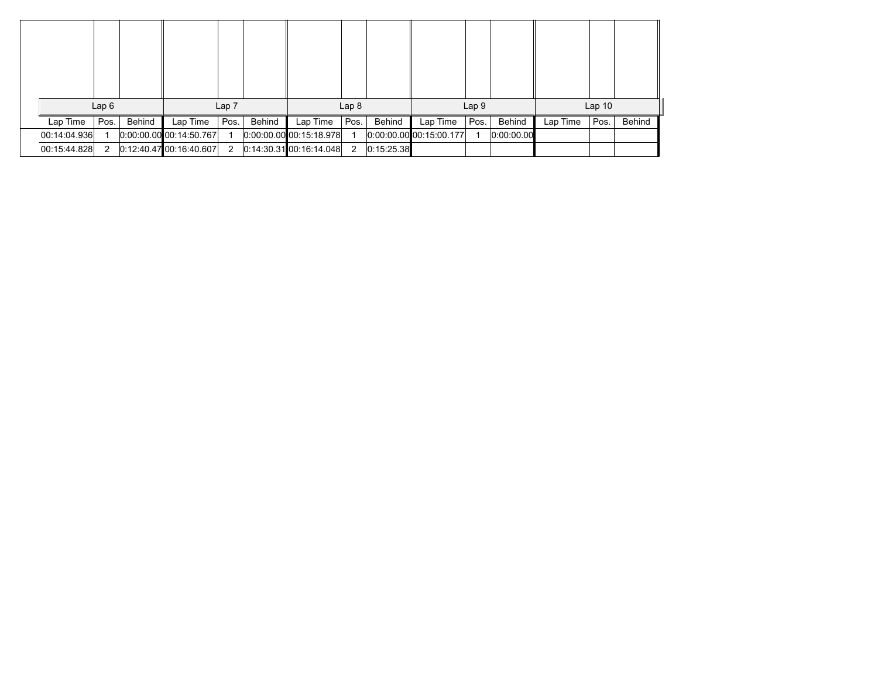|              | Lap6         |        |                           | Lap <sub>7</sub>     |        |                           | Lap <sub>8</sub> |            |                         | Lap <sub>9</sub> |            |          | Lap <sub>10</sub> |        |
|--------------|--------------|--------|---------------------------|----------------------|--------|---------------------------|------------------|------------|-------------------------|------------------|------------|----------|-------------------|--------|
| Lap Time     | Pos.         | Behind | Lap Time                  | Pos.                 | Behind | Lap Time                  | Pos.             | Behind     | Lap Time                | Pos.             | Behind     | Lap Time | Pos.              | Behind |
| 00:14:04.936 |              |        | $0:00:00$ 00 00:14:50.767 |                      |        | $0:00:00.00$ 00:15:18.978 |                  |            | 0.00.00.00000:15.00.177 |                  | 0:00:00.00 |          |                   |        |
| 00:15:44.828 | $\mathbf{2}$ |        | 0.12.40.4700.16.40.607    | $\mathbf{2}^{\circ}$ |        | $0.14.30.31$ 00:16:14.048 | $\overline{2}$   | 0:15:25.38 |                         |                  |            |          |                   |        |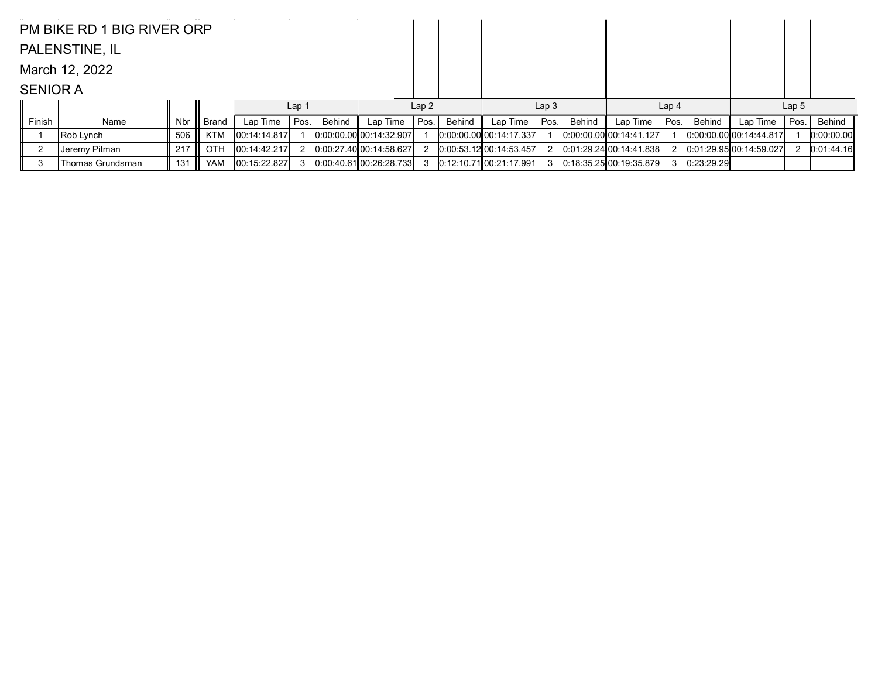|                 | PM BIKE RD 1 BIG RIVER ORP |     |            |                          |       |        |                           |      |        |                           |                  |        |                           |                  |            |                             |                  |            |
|-----------------|----------------------------|-----|------------|--------------------------|-------|--------|---------------------------|------|--------|---------------------------|------------------|--------|---------------------------|------------------|------------|-----------------------------|------------------|------------|
|                 | PALENSTINE, IL             |     |            |                          |       |        |                           |      |        |                           |                  |        |                           |                  |            |                             |                  |            |
|                 | March 12, 2022             |     |            |                          |       |        |                           |      |        |                           |                  |        |                           |                  |            |                             |                  |            |
| <b>SENIOR A</b> |                            |     |            |                          |       |        |                           |      |        |                           |                  |        |                           |                  |            |                             |                  |            |
|                 |                            |     |            |                          | Lap 1 |        |                           | Lap2 |        |                           | Lap <sub>3</sub> |        |                           | Lap <sub>4</sub> |            |                             | Lap <sub>5</sub> |            |
| Finish          | Name                       | Nbr | Brand      | Lap Time $ $ Pos.        |       | Behind | Lap Time                  | Pos. | Behind | Lap Time                  | Pos.             | Behind | Lap Time                  | Pos.             | Behind     | Lap Time                    | Pos.             | Behind     |
|                 | Rob Lynch                  | 506 | KTM        | $\parallel$ 00:14:14.817 |       |        | $0:00:00.00$ 00:14:32.907 |      |        | $0:00.00.00$ 00:14:17.337 |                  |        | $0.00.00.00$ 00:14:41.127 |                  |            | $[0:00:00.00]$ 00:14:44.817 |                  | 0:00:00.00 |
|                 | ∥Jeremy Pitman             | 217 | <b>OTH</b> | $\ 00:14:42.217\ $       |       |        | 0:00:27.40[00:14:58.627]  |      |        | $0.00.53.12$ 00:14:53.457 |                  |        | 0.01.29.24 00.14.41.838   |                  |            | 0.01.29.95 00.14.59.027     |                  | 0:01:44.16 |
| -3              | Thomas Grundsman           | 131 | YAM        | $\ 00:15:22.827\ $       |       |        | $0:00:40.61$ 00:26:28.733 |      |        | $0:12:10.71$ 00:21:17.991 |                  |        | $0:18:35.25$ 00:19:35.879 |                  | 0:23:29.29 |                             |                  |            |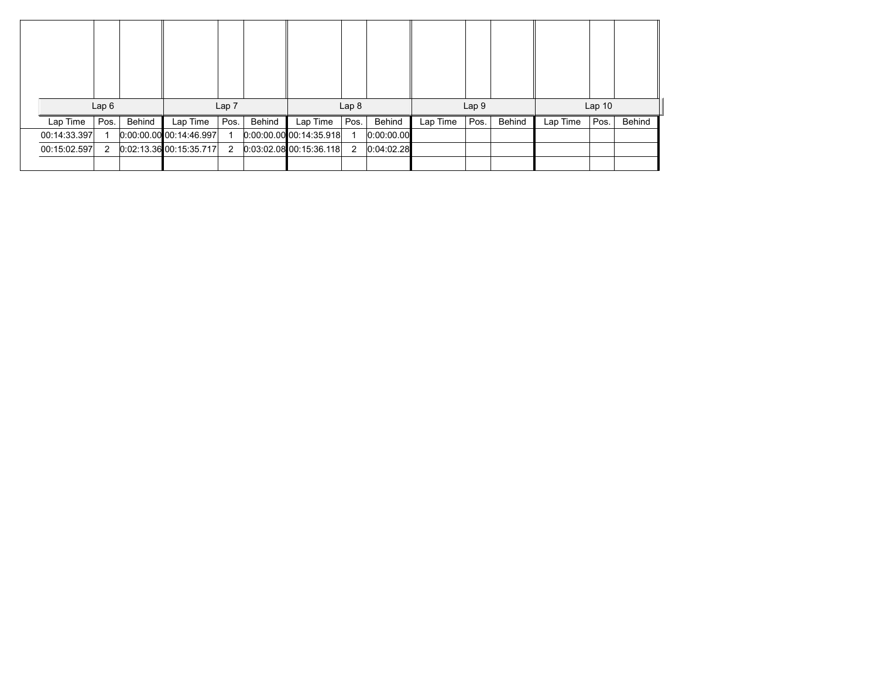|              | Lap6 |        |                           | Lap <sub>7</sub> |        |                           | Lap <sub>8</sub> |            |          | Lap 9 |        |          | Lap <sub>10</sub> |        |
|--------------|------|--------|---------------------------|------------------|--------|---------------------------|------------------|------------|----------|-------|--------|----------|-------------------|--------|
| Lap Time     | Pos. | Behind | Lap Time                  | Pos.             | Behind | Lap Time                  | Pos.             | Behind     | Lap Time | Pos.  | Behind | Lap Time | Pos.              | Behind |
| 00:14:33.397 |      |        | $0.00.00.00$ 00:14:46.997 |                  |        | $0.00.00.00$ 00:14:35.918 |                  | 0:00:00.00 |          |       |        |          |                   |        |
| 00:15:02.597 | 2    |        | $0.02:13.36$ 00:15:35.717 | 2                |        | $0.03.02.08$ 00:15:36.118 | 2                | 0.04:02.28 |          |       |        |          |                   |        |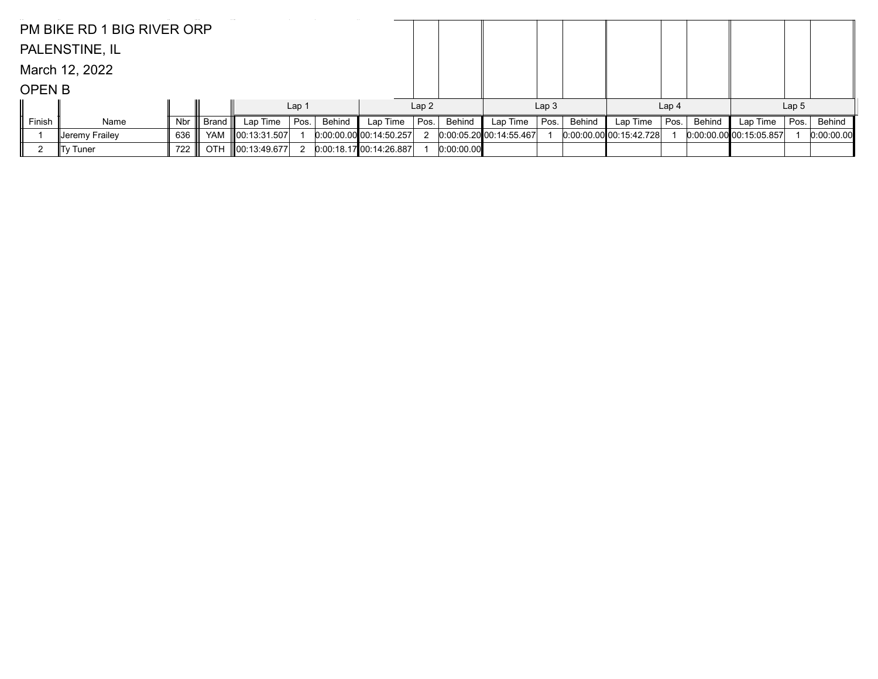|               | PM BIKE RD 1 BIG RIVER ORP |     |            |                    |                  |        |                           |      |            |                         |                  |        |                           |                  |        |                         |                  |            |
|---------------|----------------------------|-----|------------|--------------------|------------------|--------|---------------------------|------|------------|-------------------------|------------------|--------|---------------------------|------------------|--------|-------------------------|------------------|------------|
|               | PALENSTINE, IL             |     |            |                    |                  |        |                           |      |            |                         |                  |        |                           |                  |        |                         |                  |            |
|               | March 12, 2022             |     |            |                    |                  |        |                           |      |            |                         |                  |        |                           |                  |        |                         |                  |            |
| <b>OPEN B</b> |                            |     |            |                    |                  |        |                           |      |            |                         |                  |        |                           |                  |        |                         |                  |            |
|               |                            |     |            |                    | Lap <sub>1</sub> |        |                           | Lap2 |            |                         | Lap <sub>3</sub> |        |                           | Lap <sub>4</sub> |        |                         | Lap <sub>5</sub> |            |
| Finish        | Name                       | Nbr | Brand III  | Lap Time           | Pos.             | Behind | Lap Time                  | Pos. | Behind     | Lap Time                | Pos.             | Behind | Lap Time                  | Pos.             | Behind | Lap Time                | Pos.             | Behind     |
|               | ∥Jeremγ Fraileγ            | 636 |            | YAM 100:13:31.507  |                  |        | $0:00:00.00$ 00:14:50.257 |      |            | 0.00.05.20 00.14.55.467 |                  |        | $0.00.00.00$ 00:15:42.728 |                  |        | 0.00.00.00 00.15.05.857 |                  | 0:00:00.00 |
|               | ∥Ty Tuner                  | 722 | <b>OTH</b> | $\ 00:13:49.677\ $ | 2                |        | 0.00:18.17100:14.26.887   |      | 0:00:00.00 |                         |                  |        |                           |                  |        |                         |                  |            |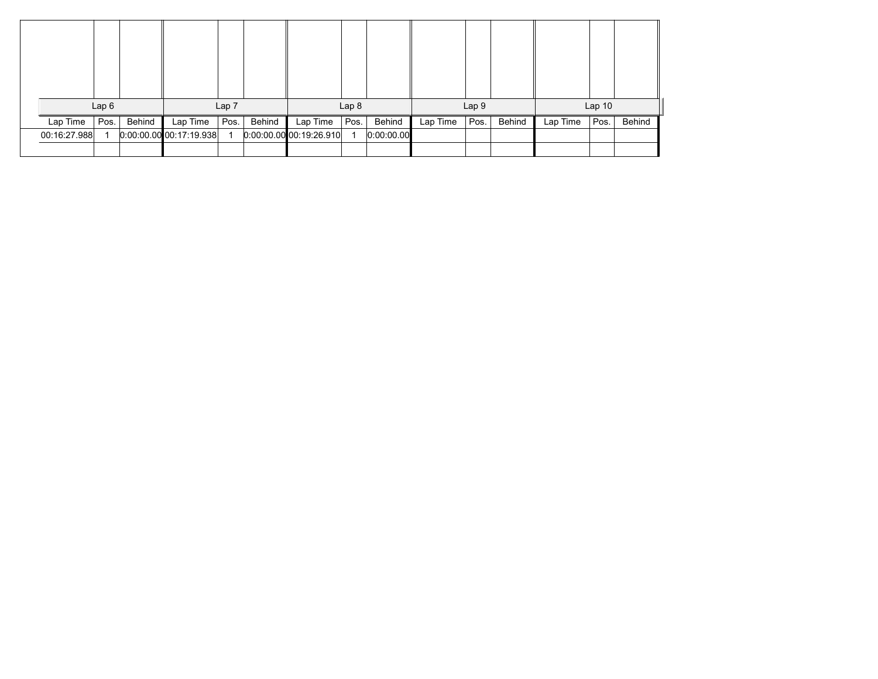|              | Lap6 |        |                           | Lap 7 |        |                           | Lap <sub>8</sub> |            |          | Lap 9 |        |          | Lap <sub>10</sub> |        |
|--------------|------|--------|---------------------------|-------|--------|---------------------------|------------------|------------|----------|-------|--------|----------|-------------------|--------|
| Lap Time     | Pos. | Behind | Lap Time                  | Pos.  | Behind | Lap Time                  | Pos.             | Behind     | Lap Time | Pos.  | Behind | Lap Time | Pos.              | Behind |
| 00:16:27.988 |      |        | $0.00.00.00$ 00:17:19.938 |       |        | $0.00.00.00$ 00:19:26.910 |                  | 0:00:00.00 |          |       |        |          |                   |        |
|              |      |        |                           |       |        |                           |                  |            |          |       |        |          |                   |        |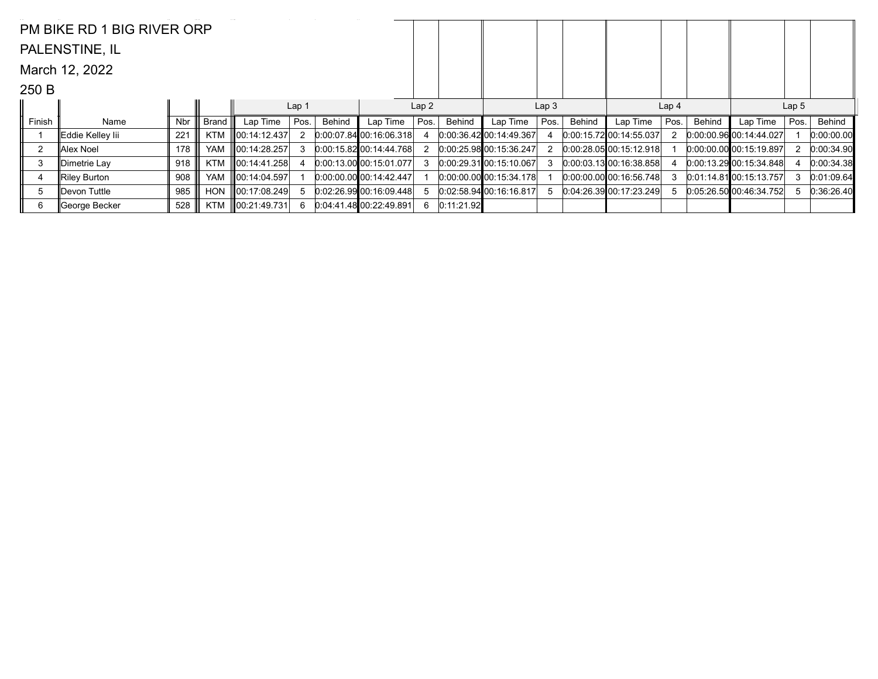|                | PM BIKE RD 1 BIG RIVER ORP |     |            |                    |                  |               |                                 |      |               |                                 |                  |        |                             |                  |        |                             |                  |            |
|----------------|----------------------------|-----|------------|--------------------|------------------|---------------|---------------------------------|------|---------------|---------------------------------|------------------|--------|-----------------------------|------------------|--------|-----------------------------|------------------|------------|
|                | PALENSTINE, IL             |     |            |                    |                  |               |                                 |      |               |                                 |                  |        |                             |                  |        |                             |                  |            |
|                | March 12, 2022             |     |            |                    |                  |               |                                 |      |               |                                 |                  |        |                             |                  |        |                             |                  |            |
| 250 B          |                            |     |            |                    |                  |               |                                 |      |               |                                 |                  |        |                             |                  |        |                             |                  |            |
|                |                            |     |            |                    | Lap <sub>1</sub> |               |                                 | Lap2 |               |                                 | Lap <sub>3</sub> |        |                             | Lap <sub>4</sub> |        |                             | Lap <sub>5</sub> |            |
| Finish         | Name                       | Nbr | Brand      | Lap Time           | Pos.             | <b>Behind</b> | Lap Time                        | Pos. | <b>Behind</b> | Lap Time                        | Pos.             | Behind | Lap Time                    | Pos.             | Behind | Lap Time                    | Pos.             | Behind     |
|                | Eddie Kelley lii           | 221 | <b>KTM</b> | 00:14:12.437       | 2                |               | 0.00.07.84 00.16.06.318         |      |               | 0.0036420014449367              |                  |        | 0.00:15.7200:14:55.037      |                  |        | $[0:00:00.96]$ 00:14:44.027 |                  | 0:00:00.00 |
| $\overline{2}$ | ∥Alex Noel                 | 178 | <b>YAM</b> | $\ 00:14:28.257\ $ | 3                |               | $0:00:15.82$ 00:14:44.768       |      |               | 0:00:25.98 00:15:36.247         |                  |        | $0:00:28.05$ 00:15:12.918   |                  |        | $0:00:00.00$ 00:15:19.897   |                  | 0:00:34.90 |
| 3              | ∥Dimetrie Lay              | 918 | <b>KTM</b> | 00:14:41.258       |                  |               | $[0.00:13.00]$ 00:15:01.077     |      |               | $[0:00:29.31]$ $[00:15:10.067]$ |                  |        | $0:00:03.13$ 00:16:38.858   |                  |        | 0.00:13.2900:15:34.848      |                  | 0:00:34.38 |
| 4              | Riley Burton               | 908 | <b>YAM</b> | 00:14:04.597       |                  |               | $[0:00:00:00]$ $[00:14:42.447]$ |      |               | $[0:00:00.00]$ 00:15:34.178     |                  |        | $[0.00:00.00]$ 00:16:56.748 |                  |        | $[0.01:14.81]$ 00:15:13.757 |                  | 0:01:09.64 |
| 5              | Devon Tuttle               | 985 | <b>HON</b> | 00:17:08.249       |                  |               | 0.02:26.99 00:16:09.448         |      |               | 0.02.58.94100.16.16.817         |                  |        | 0.04.26.39000.17.23.249     | 5                |        | 0.05:26.50100:46:34.752     | 5                | 0:36:26.40 |
| 6              | George Becker              | 528 | KTM        | 00:21:49.731       | 6                |               | 0.04.41.4800.22.49.891          |      | 0:11:21.92    |                                 |                  |        |                             |                  |        |                             |                  |            |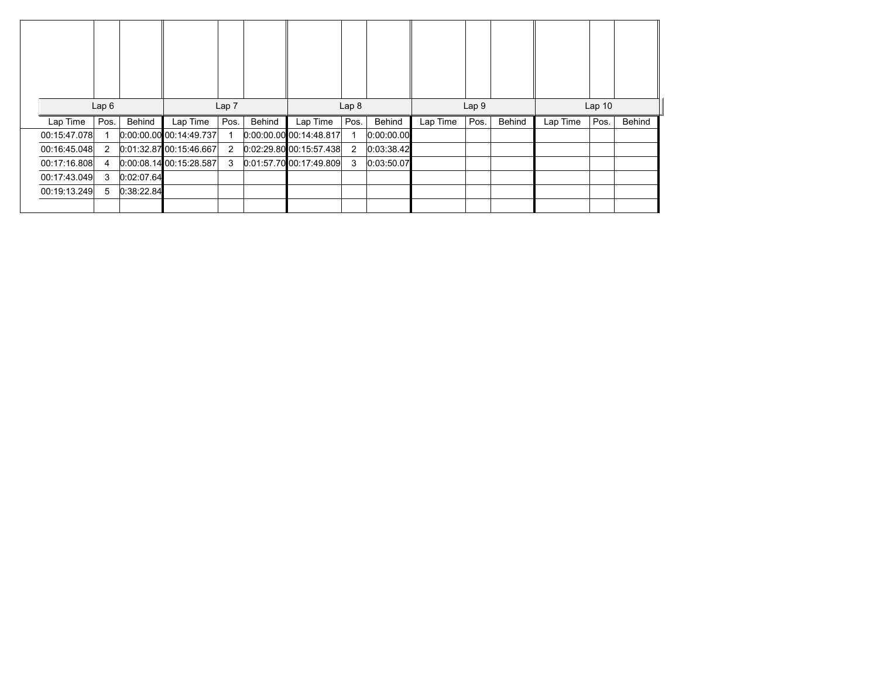|              | Lap6 |      |            | Lap 7                       |                |        | Lap <sub>8</sub>          |                |            |          | Lap <sub>9</sub> |        | Lap <sub>10</sub> |      |        |  |
|--------------|------|------|------------|-----------------------------|----------------|--------|---------------------------|----------------|------------|----------|------------------|--------|-------------------|------|--------|--|
| Lap Time     |      | Pos. | Behind     | Lap Time                    | Pos.           | Behind | Lap Time                  | Pos.           | Behind     | Lap Time | Pos.             | Behind | Lap Time          | Pos. | Behind |  |
| 00:15:47.078 |      |      |            |                             |                |        |                           |                |            |          |                  |        |                   |      |        |  |
|              |      |      |            | $[0.00.00.00]$ 00:14:49.737 |                |        | $0:00:00.00$ 00:14:48.817 |                | 0:00:00.00 |          |                  |        |                   |      |        |  |
| 00:16:45.048 |      | 2    |            | 0.01:32.8700:15:46.667      | $\overline{2}$ |        | $0.02.29.80$ 00:15:57.438 | $\overline{2}$ | 0:03:38.42 |          |                  |        |                   |      |        |  |
| 00:17:16.808 |      | 4    |            | 0.00.08.1400.15.28.587      | 3              |        | 0.01:57.70[00:17:49.809]  | 3              | 0:03:50.07 |          |                  |        |                   |      |        |  |
| 00:17:43.049 |      | 3    | 0:02:07.64 |                             |                |        |                           |                |            |          |                  |        |                   |      |        |  |
| 00:19:13.249 |      | 5    | 0:38:22.84 |                             |                |        |                           |                |            |          |                  |        |                   |      |        |  |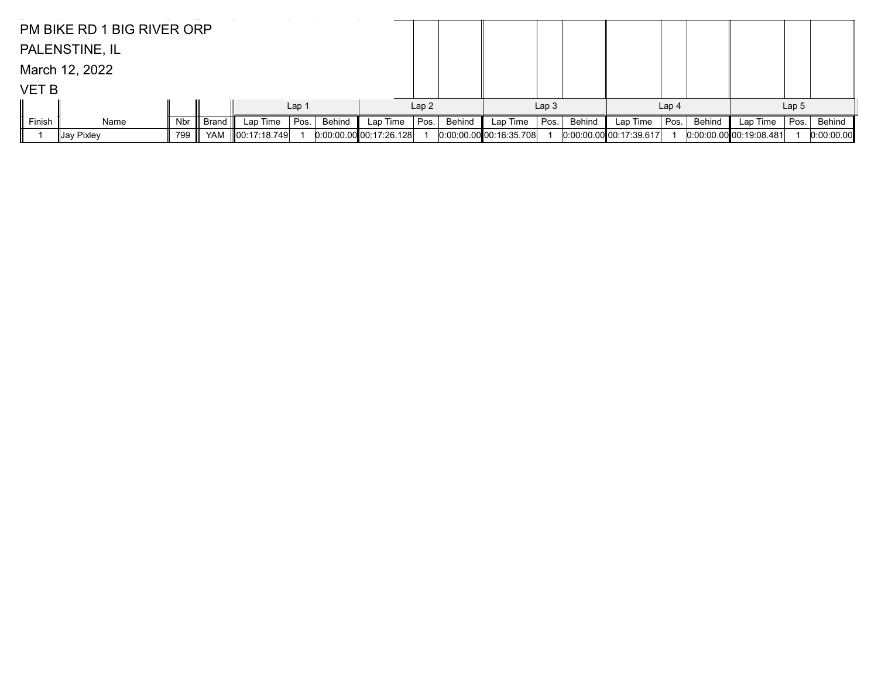|              | PM BIKE RD 1 BIG RIVER ORP |              |           |                         |                  |        |                         |      |        |                            |                  |        |                           |                  |            |          |                  |        |
|--------------|----------------------------|--------------|-----------|-------------------------|------------------|--------|-------------------------|------|--------|----------------------------|------------------|--------|---------------------------|------------------|------------|----------|------------------|--------|
|              | PALENSTINE, IL             |              |           |                         |                  |        |                         |      |        |                            |                  |        |                           |                  |            |          |                  |        |
|              | March 12, 2022             |              |           |                         |                  |        |                         |      |        |                            |                  |        |                           |                  |            |          |                  |        |
| <b>VET B</b> |                            |              |           |                         |                  |        |                         |      |        |                            |                  |        |                           |                  |            |          |                  |        |
|              |                            |              |           |                         | Lap <sub>1</sub> |        |                         | Lap2 |        |                            | Lap <sub>3</sub> |        |                           | Lap <sub>4</sub> |            |          | Lap <sub>5</sub> |        |
| Finish       | Name                       | Nbr          | Brand III | Lap Time                | Pos.             | Behind | Lap Time                | Pos. | Behind | Lap Time                   | Pos.             | Behind | Lap Time                  | Pos.             | Behind     | Lap Time | Pos.             | Behind |
|              | ∥Jay Pixley                | 00:17:18.749 |           | 0.00.00.00 00.17.26.128 |                  |        | 0.00.00.00000:16.35.708 |      |        | $0:00.00$ ,00 00:17:39.617 |                  |        | $0:00:00.00$ 00:19:08.481 |                  | 0:00:00.00 |          |                  |        |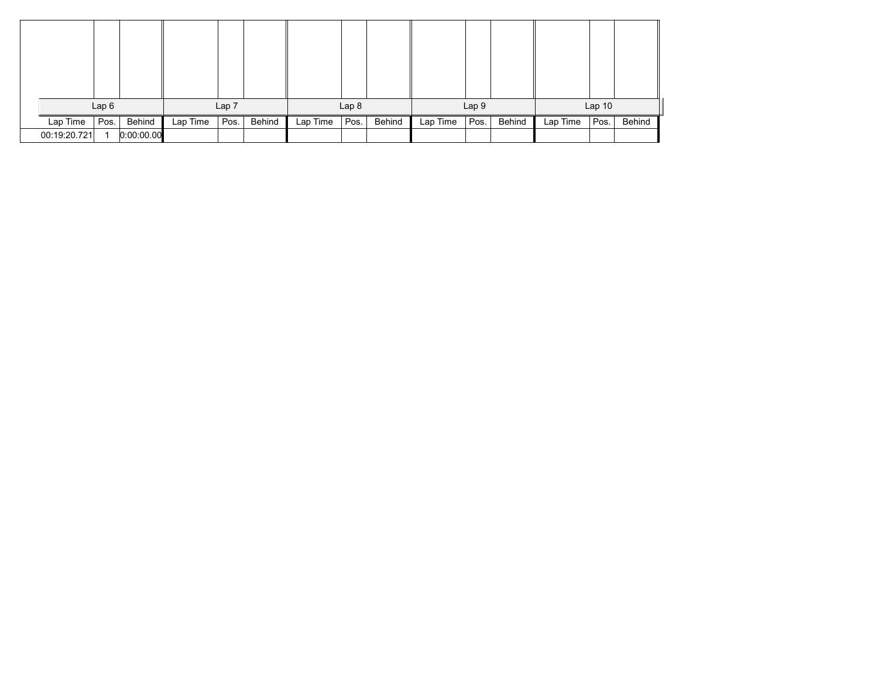|              | Lap6 |            |          | Lap 7 |        |          | Lap <sub>8</sub> |        |          | Lap 9 |        |          | Lap <sub>10</sub> |        |
|--------------|------|------------|----------|-------|--------|----------|------------------|--------|----------|-------|--------|----------|-------------------|--------|
| Lap Time     | Pos. | Behind     | Lap Time | Pos.  | Behind | Lap Time | Pos.             | Behind | Lap Time | Pos.  | Behind | Lap Time | Pos.              | Behind |
| 00:19:20.721 |      | 0:00:00.00 |          |       |        |          |                  |        |          |       |        |          |                   |        |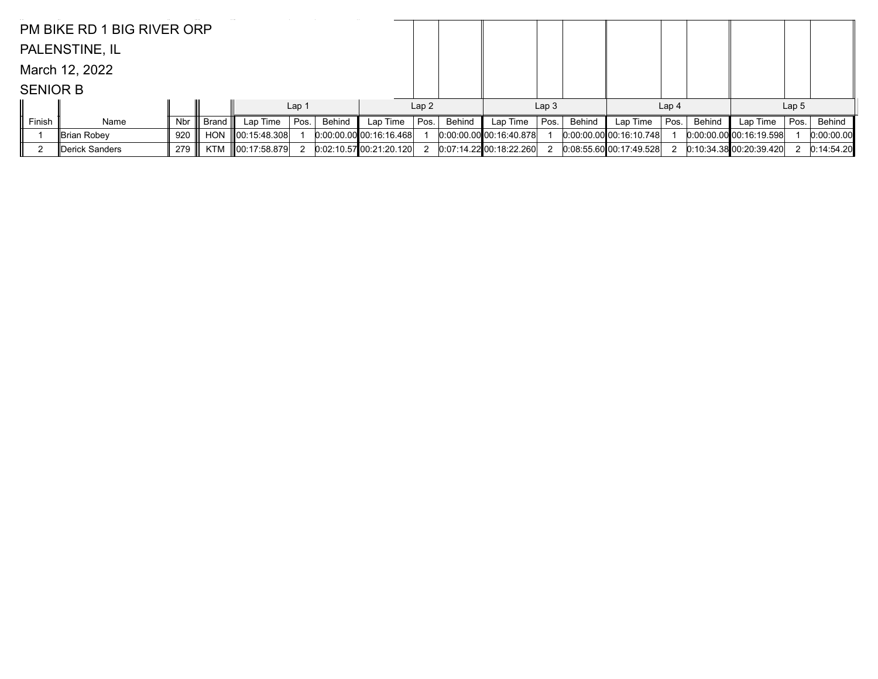|                 | PM BIKE RD 1 BIG RIVER ORP |                           |       |              |                           |        |                        |                           |        |                           |                             |        |                        |                  |               |                           |                  |            |
|-----------------|----------------------------|---------------------------|-------|--------------|---------------------------|--------|------------------------|---------------------------|--------|---------------------------|-----------------------------|--------|------------------------|------------------|---------------|---------------------------|------------------|------------|
|                 | PALENSTINE, IL             |                           |       |              |                           |        |                        |                           |        |                           |                             |        |                        |                  |               |                           |                  |            |
|                 | March 12, 2022             |                           |       |              |                           |        |                        |                           |        |                           |                             |        |                        |                  |               |                           |                  |            |
| <b>SENIOR B</b> |                            |                           |       |              |                           |        |                        |                           |        |                           |                             |        |                        |                  |               |                           |                  |            |
|                 |                            |                           |       |              | Lap <sub>1</sub>          |        |                        | Lap2                      |        |                           | Lap <sub>3</sub>            |        |                        | Lap <sub>4</sub> |               |                           | Lap <sub>5</sub> |            |
| Finish          | Name                       | Nbr                       | Brand | Lap Time     | Pos.                      | Behind | Lap Time               | Pos.                      | Behind | Lap Time                  | Pos.                        | Behind | Lap Time               | Pos.             | <b>Behind</b> | Lap Time                  | Pos.             | Behind     |
|                 | Brian Robey                | $0:00:00.00$ 00:16:16.468 |       |              | $0:00:00.00$ 00:16:40.878 |        |                        | $0.00.00.00$ 00:16:10.748 |        |                           | $[0.00.00.00]$ 00:16:19.598 |        | 0:00:00.00             |                  |               |                           |                  |            |
|                 | Derick Sanders             | 279                       | KTM   | 00:17:58.879 |                           |        | 0.02:10.5700:21:20.120 |                           |        | $0.07:14.22$ 00:18:22.260 |                             |        | 0.08:55.6000:17:49.528 |                  |               | $0:10:34.38$ 00:20:39.420 |                  | 0:14:54.20 |